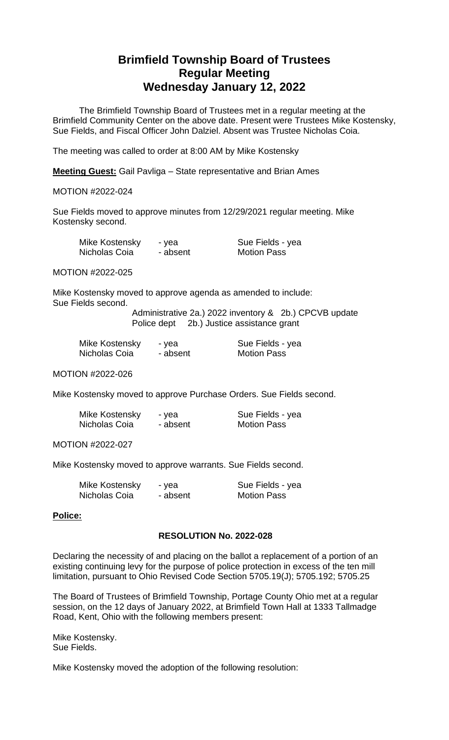# **Brimfield Township Board of Trustees Regular Meeting Wednesday January 12, 2022**

The Brimfield Township Board of Trustees met in a regular meeting at the Brimfield Community Center on the above date. Present were Trustees Mike Kostensky, Sue Fields, and Fiscal Officer John Dalziel. Absent was Trustee Nicholas Coia.

The meeting was called to order at 8:00 AM by Mike Kostensky

**Meeting Guest:** Gail Pavliga – State representative and Brian Ames

## MOTION #2022-024

Sue Fields moved to approve minutes from 12/29/2021 regular meeting. Mike Kostensky second.

| Mike Kostensky | - vea    |
|----------------|----------|
| Nicholas Coia  | - absent |

Sue Fields - yea **Motion Pass** 

MOTION #2022-025

Mike Kostensky moved to approve agenda as amended to include: Sue Fields second.

Administrative 2a.) 2022 inventory & 2b.) CPCVB update Police dept 2b.) Justice assistance grant

| Mike Kostensky | - yea    | Sue Fields - yea   |
|----------------|----------|--------------------|
| Nicholas Coia  | - absent | <b>Motion Pass</b> |

MOTION #2022-026

Mike Kostensky moved to approve Purchase Orders. Sue Fields second.

| Mike Kostensky | - yea    | Sue Fields - yea   |
|----------------|----------|--------------------|
| Nicholas Coia  | - absent | <b>Motion Pass</b> |

MOTION #2022-027

Mike Kostensky moved to approve warrants. Sue Fields second.

| Mike Kostensky | - yea    | Sue Fields - yea   |
|----------------|----------|--------------------|
| Nicholas Coia  | - absent | <b>Motion Pass</b> |

#### **Police:**

### **RESOLUTION No. 2022-028**

Declaring the necessity of and placing on the ballot a replacement of a portion of an existing continuing levy for the purpose of police protection in excess of the ten mill limitation, pursuant to Ohio Revised Code Section 5705.19(J); 5705.192; 5705.25

The Board of Trustees of Brimfield Township, Portage County Ohio met at a regular session, on the 12 days of January 2022, at Brimfield Town Hall at 1333 Tallmadge Road, Kent, Ohio with the following members present:

Mike Kostensky. Sue Fields.

Mike Kostensky moved the adoption of the following resolution: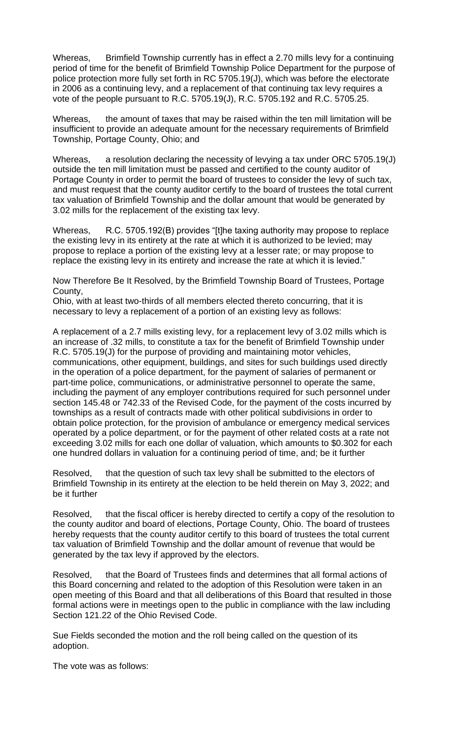Whereas, Brimfield Township currently has in effect a 2.70 mills levy for a continuing period of time for the benefit of Brimfield Township Police Department for the purpose of police protection more fully set forth in RC 5705.19(J), which was before the electorate in 2006 as a continuing levy, and a replacement of that continuing tax levy requires a vote of the people pursuant to R.C. 5705.19(J), R.C. 5705.192 and R.C. 5705.25.

Whereas, the amount of taxes that may be raised within the ten mill limitation will be insufficient to provide an adequate amount for the necessary requirements of Brimfield Township, Portage County, Ohio; and

Whereas, a resolution declaring the necessity of levying a tax under ORC 5705.19(J) outside the ten mill limitation must be passed and certified to the county auditor of Portage County in order to permit the board of trustees to consider the levy of such tax, and must request that the county auditor certify to the board of trustees the total current tax valuation of Brimfield Township and the dollar amount that would be generated by 3.02 mills for the replacement of the existing tax levy.

Whereas, R.C. 5705.192(B) provides "[t]he taxing authority may propose to replace the existing levy in its entirety at the rate at which it is authorized to be levied; may propose to replace a portion of the existing levy at a lesser rate; or may propose to replace the existing levy in its entirety and increase the rate at which it is levied."

Now Therefore Be It Resolved, by the Brimfield Township Board of Trustees, Portage County,

Ohio, with at least two-thirds of all members elected thereto concurring, that it is necessary to levy a replacement of a portion of an existing levy as follows:

A replacement of a 2.7 mills existing levy, for a replacement levy of 3.02 mills which is an increase of .32 mills, to constitute a tax for the benefit of Brimfield Township under R.C. 5705.19(J) for the purpose of providing and maintaining motor vehicles, communications, other equipment, buildings, and sites for such buildings used directly in the operation of a police department, for the payment of salaries of permanent or part-time police, communications, or administrative personnel to operate the same, including the payment of any employer contributions required for such personnel under section 145.48 or 742.33 of the Revised Code, for the payment of the costs incurred by townships as a result of contracts made with other political subdivisions in order to obtain police protection, for the provision of ambulance or emergency medical services operated by a police department, or for the payment of other related costs at a rate not exceeding 3.02 mills for each one dollar of valuation, which amounts to \$0.302 for each one hundred dollars in valuation for a continuing period of time, and; be it further

Resolved, that the question of such tax levy shall be submitted to the electors of Brimfield Township in its entirety at the election to be held therein on May 3, 2022; and be it further

Resolved, that the fiscal officer is hereby directed to certify a copy of the resolution to the county auditor and board of elections, Portage County, Ohio. The board of trustees hereby requests that the county auditor certify to this board of trustees the total current tax valuation of Brimfield Township and the dollar amount of revenue that would be generated by the tax levy if approved by the electors.

Resolved, that the Board of Trustees finds and determines that all formal actions of this Board concerning and related to the adoption of this Resolution were taken in an open meeting of this Board and that all deliberations of this Board that resulted in those formal actions were in meetings open to the public in compliance with the law including Section 121.22 of the Ohio Revised Code.

Sue Fields seconded the motion and the roll being called on the question of its adoption.

The vote was as follows: